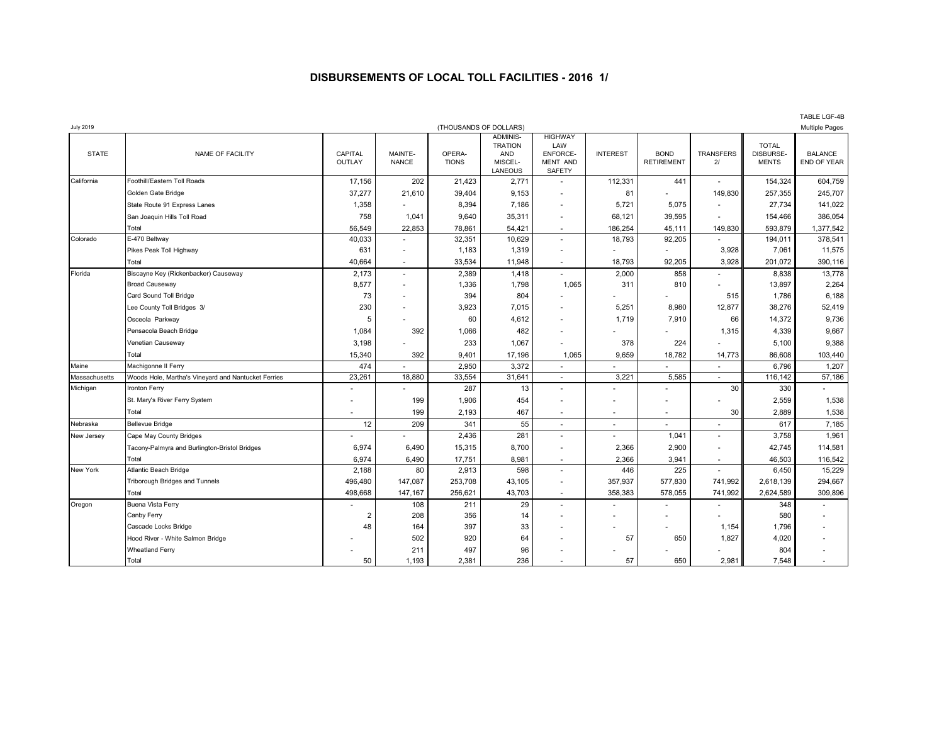## **DISBURSEMENTS OF LOCAL TOLL FACILITIES - 2016 1/**

| <b>July 2019</b> |                                                     |                   | (THOUSANDS OF DOLLARS)   |                        |                                                                       |                                                                |                          |                                  | <b>Multiple Pages</b>    |                                           |                               |
|------------------|-----------------------------------------------------|-------------------|--------------------------|------------------------|-----------------------------------------------------------------------|----------------------------------------------------------------|--------------------------|----------------------------------|--------------------------|-------------------------------------------|-------------------------------|
| <b>STATE</b>     | NAME OF FACILITY                                    | CAPITAL<br>OUTLAY | MAINTE-<br><b>NANCE</b>  | OPERA-<br><b>TIONS</b> | <b>ADMINIS-</b><br><b>TRATION</b><br><b>AND</b><br>MISCEL-<br>LANEOUS | <b>HIGHWAY</b><br>LAW<br>ENFORCE-<br>MENT AND<br><b>SAFETY</b> | <b>INTEREST</b>          | <b>BOND</b><br><b>RETIREMENT</b> | <b>TRANSFERS</b><br>21   | <b>TOTAL</b><br>DISBURSE-<br><b>MENTS</b> | <b>BALANCE</b><br>END OF YEAR |
| California       | Foothill/Eastern Toll Roads                         | 17,156            | 202                      | 21,423                 | 2,771                                                                 | ٠                                                              | 112,331                  | 441                              | $\blacksquare$           | 154,324                                   | 604,759                       |
|                  | Golden Gate Bridge                                  | 37,277            | 21,610                   | 39,404                 | 9,153                                                                 |                                                                | 81                       |                                  | 149,830                  | 257,355                                   | 245,707                       |
|                  | State Route 91 Express Lanes                        | 1,358             |                          | 8,394                  | 7,186                                                                 | $\overline{a}$                                                 | 5,721                    | 5,075                            | $\overline{a}$           | 27,734                                    | 141,022                       |
|                  | San Joaquin Hills Toll Road                         | 758               | 1,041                    | 9,640                  | 35,311                                                                |                                                                | 68,121                   | 39,595                           |                          | 154,466                                   | 386,054                       |
|                  | Total                                               | 56,549            | 22,853                   | 78,861                 | 54,421                                                                |                                                                | 186,254                  | 45,111                           | 149,830                  | 593,879                                   | 1,377,542                     |
| Colorado         | E-470 Beltway                                       | 40,033            | $\sim$                   | 32,351                 | 10,629                                                                | ÷                                                              | 18,793                   | 92,205                           |                          | 194,011                                   | 378,541                       |
|                  | Pikes Peak Toll Highway                             | 631               | $\overline{\phantom{a}}$ | 1,183                  | 1,319                                                                 | $\sim$                                                         |                          | ä,                               | 3,928                    | 7,061                                     | 11,575                        |
|                  | Total                                               | 40,664            | $\sim$                   | 33,534                 | 11,948                                                                | $\sim$                                                         | 18,793                   | 92,205                           | 3,928                    | 201,072                                   | 390,116                       |
| Florida          | Biscayne Key (Rickenbacker) Causeway                | 2,173             | $\sim$                   | 2,389                  | 1,418                                                                 |                                                                | 2,000                    | 858                              | ٠                        | 8,838                                     | 13,778                        |
|                  | <b>Broad Causeway</b>                               | 8,577             | $\sim$                   | 1,336                  | 1,798                                                                 | 1,065                                                          | 311                      | 810                              | $\blacksquare$           | 13,897                                    | 2,264                         |
|                  | Card Sound Toll Bridge                              | 73                |                          | 394                    | 804                                                                   |                                                                |                          |                                  | 515                      | 1,786                                     | 6,188                         |
|                  | Lee County Toll Bridges 3/                          | 230               |                          | 3,923                  | 7,015                                                                 | $\sim$                                                         | 5,251                    | 8,980                            | 12,877                   | 38,276                                    | 52,419                        |
|                  | Osceola Parkway                                     | 5                 |                          | 60                     | 4,612                                                                 | $\sim$                                                         | 1,719                    | 7,910                            | 66                       | 14,372                                    | 9,736                         |
|                  | Pensacola Beach Bridge                              | 1,084             | 392                      | 1,066                  | 482                                                                   | ٠                                                              |                          |                                  | 1,315                    | 4,339                                     | 9,667                         |
|                  | Venetian Causeway                                   | 3,198             |                          | 233                    | 1,067                                                                 |                                                                | 378                      | 224                              |                          | 5,100                                     | 9,388                         |
|                  | Total                                               | 15,340            | 392                      | 9,401                  | 17,196                                                                | 1,065                                                          | 9,659                    | 18,782                           | 14,773                   | 86,608                                    | 103,440                       |
| Maine            | Machigonne II Ferry                                 | 474               |                          | 2,950                  | 3,372                                                                 |                                                                |                          |                                  | $\blacksquare$           | 6,796                                     | 1,207                         |
| Massachusetts    | Woods Hole, Martha's Vineyard and Nantucket Ferries | 23,261            | 18,880                   | 33,554                 | 31,641                                                                | $\overline{\phantom{a}}$                                       | 3,221                    | 5,585                            | ä,                       | 116,142                                   | 57,186                        |
| Michigan         | Ironton Ferry                                       |                   |                          | 287                    | 13                                                                    | ٠                                                              |                          |                                  | 30                       | 330                                       |                               |
|                  | St. Mary's River Ferry System                       |                   | 199                      | 1,906                  | 454                                                                   | ٠                                                              |                          |                                  |                          | 2,559                                     | 1,538                         |
|                  | Total                                               |                   | 199                      | 2,193                  | 467                                                                   | $\overline{a}$                                                 | $\overline{\phantom{a}}$ | $\sim$                           | 30                       | 2,889                                     | 1,538                         |
| Nebraska         | <b>Bellevue Bridge</b>                              | 12                | 209                      | 341                    | 55                                                                    | $\blacksquare$                                                 | ٠                        |                                  | ٠                        | 617                                       | 7,185                         |
| New Jersey       | Cape May County Bridges                             |                   |                          | 2,436                  | 281                                                                   | $\blacksquare$                                                 |                          | 1,041                            | $\blacksquare$           | 3,758                                     | 1,961                         |
|                  | Tacony-Palmyra and Burlington-Bristol Bridges       | 6,974             | 6,490                    | 15,315                 | 8,700                                                                 | ٠                                                              | 2,366                    | 2,900                            | $\blacksquare$           | 42,745                                    | 114,581                       |
|                  | Total                                               | 6,974             | 6,490                    | 17,751                 | 8,981                                                                 | $\sim$                                                         | 2,366                    | 3,941                            | $\overline{\phantom{a}}$ | 46,503                                    | 116,542                       |
| New York         | Atlantic Beach Bridge                               | 2,188             | 80                       | 2,913                  | 598                                                                   | $\sim$                                                         | 446                      | 225                              |                          | 6,450                                     | 15,229                        |
|                  | Triborough Bridges and Tunnels                      | 496,480           | 147,087                  | 253,708                | 43,105                                                                | $\sim$                                                         | 357,937                  | 577,830                          | 741,992                  | 2,618,139                                 | 294,667                       |
|                  | Total                                               | 498,668           | 147,167                  | 256,621                | 43,703                                                                | $\sim$                                                         | 358,383                  | 578,055                          | 741,992                  | 2,624,589                                 | 309,896                       |
| Oregon           | Buena Vista Ferry                                   |                   | 108                      | 211                    | 29                                                                    | ä,                                                             |                          | ٠                                | $\blacksquare$           | 348                                       |                               |
|                  | Canby Ferry                                         | $\overline{2}$    | 208                      | 356                    | 14                                                                    | ٠                                                              |                          |                                  | ٠                        | 580                                       | ٠                             |
|                  | Cascade Locks Bridge                                | 48                | 164                      | 397                    | 33                                                                    |                                                                |                          |                                  | 1,154                    | 1,796                                     |                               |
|                  | Hood River - White Salmon Bridge                    |                   | 502                      | 920                    | 64                                                                    |                                                                | 57                       | 650                              | 1,827                    | 4,020                                     |                               |
|                  | Wheatland Ferry                                     |                   | 211                      | 497                    | 96                                                                    |                                                                |                          |                                  |                          | 804                                       |                               |
|                  | Total                                               | 50                | 1,193                    | 2.381                  | 236                                                                   |                                                                | 57                       | 650                              | 2.981                    | 7,548                                     |                               |

TABLE LGF-4B